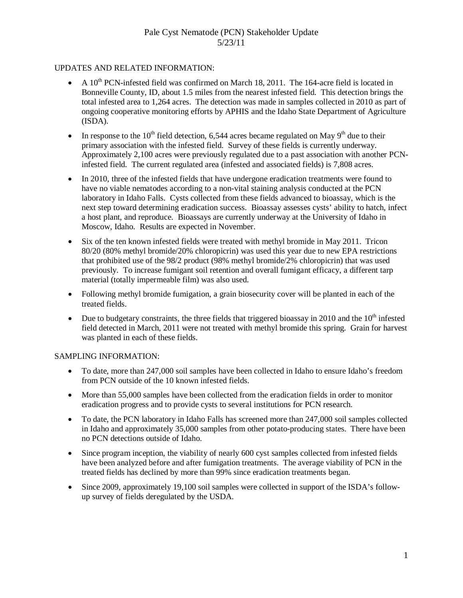# Pale Cyst Nematode (PCN) Stakeholder Update 5/23/11

### UPDATES AND RELATED INFORMATION:

- A  $10^{th}$  PCN-infested field was confirmed on March 18, 2011. The 164-acre field is located in Bonneville County, ID, about 1.5 miles from the nearest infested field. This detection brings the total infested area to 1,264 acres. The detection was made in samples collected in 2010 as part of ongoing cooperative monitoring efforts by APHIS and the Idaho State Department of Agriculture (ISDA).
- In response to the 10<sup>th</sup> field detection, 6,544 acres became regulated on May 9<sup>th</sup> due to their primary association with the infested field. Survey of these fields is currently underway. Approximately 2,100 acres were previously regulated due to a past association with another PCNinfested field. The current regulated area (infested and associated fields) is 7,808 acres.
- In 2010, three of the infested fields that have undergone eradication treatments were found to have no viable nematodes according to a non-vital staining analysis conducted at the PCN laboratory in Idaho Falls. Cysts collected from these fields advanced to bioassay, which is the next step toward determining eradication success. Bioassay assesses cysts' ability to hatch, infect a host plant, and reproduce. Bioassays are currently underway at the University of Idaho in Moscow, Idaho. Results are expected in November.
- Six of the ten known infested fields were treated with methyl bromide in May 2011. Tricon 80/20 (80% methyl bromide/20% chloropicrin) was used this year due to new EPA restrictions that prohibited use of the 98/2 product (98% methyl bromide/2% chloropicrin) that was used previously. To increase fumigant soil retention and overall fumigant efficacy, a different tarp material (totally impermeable film) was also used.
- Following methyl bromide fumigation, a grain biosecurity cover will be planted in each of the treated fields.
- Due to budgetary constraints, the three fields that triggered bioassay in 2010 and the  $10<sup>th</sup>$  infested field detected in March, 2011 were not treated with methyl bromide this spring. Grain for harvest was planted in each of these fields.

#### SAMPLING INFORMATION:

- To date, more than 247,000 soil samples have been collected in Idaho to ensure Idaho's freedom from PCN outside of the 10 known infested fields.
- More than 55,000 samples have been collected from the eradication fields in order to monitor eradication progress and to provide cysts to several institutions for PCN research.
- To date, the PCN laboratory in Idaho Falls has screened more than 247,000 soil samples collected in Idaho and approximately 35,000 samples from other potato-producing states. There have been no PCN detections outside of Idaho.
- Since program inception, the viability of nearly 600 cyst samples collected from infested fields have been analyzed before and after fumigation treatments. The average viability of PCN in the treated fields has declined by more than 99% since eradication treatments began.
- Since 2009, approximately 19,100 soil samples were collected in support of the ISDA's followup survey of fields deregulated by the USDA.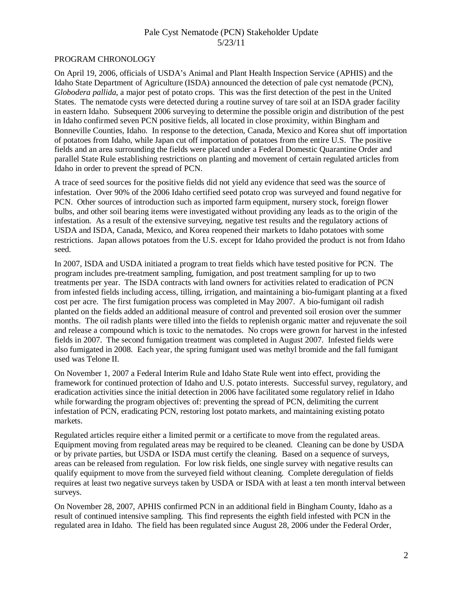# Pale Cyst Nematode (PCN) Stakeholder Update 5/23/11

#### PROGRAM CHRONOLOGY

On April 19, 2006, officials of USDA's Animal and Plant Health Inspection Service (APHIS) and the Idaho State Department of Agriculture (ISDA) announced the detection of pale cyst nematode (PCN), *Globodera pallida*, a major pest of potato crops. This was the first detection of the pest in the United States. The nematode cysts were detected during a routine survey of tare soil at an ISDA grader facility in eastern Idaho. Subsequent 2006 surveying to determine the possible origin and distribution of the pest in Idaho confirmed seven PCN positive fields, all located in close proximity, within Bingham and Bonneville Counties, Idaho. In response to the detection, Canada, Mexico and Korea shut off importation of potatoes from Idaho, while Japan cut off importation of potatoes from the entire U.S. The positive fields and an area surrounding the fields were placed under a Federal Domestic Quarantine Order and parallel State Rule establishing restrictions on planting and movement of certain regulated articles from Idaho in order to prevent the spread of PCN.

A trace of seed sources for the positive fields did not yield any evidence that seed was the source of infestation. Over 90% of the 2006 Idaho certified seed potato crop was surveyed and found negative for PCN. Other sources of introduction such as imported farm equipment, nursery stock, foreign flower bulbs, and other soil bearing items were investigated without providing any leads as to the origin of the infestation. As a result of the extensive surveying, negative test results and the regulatory actions of USDA and ISDA, Canada, Mexico, and Korea reopened their markets to Idaho potatoes with some restrictions. Japan allows potatoes from the U.S. except for Idaho provided the product is not from Idaho seed.

In 2007, ISDA and USDA initiated a program to treat fields which have tested positive for PCN. The program includes pre-treatment sampling, fumigation, and post treatment sampling for up to two treatments per year. The ISDA contracts with land owners for activities related to eradication of PCN from infested fields including access, tilling, irrigation, and maintaining a bio-fumigant planting at a fixed cost per acre. The first fumigation process was completed in May 2007. A bio-fumigant oil radish planted on the fields added an additional measure of control and prevented soil erosion over the summer months. The oil radish plants were tilled into the fields to replenish organic matter and rejuvenate the soil and release a compound which is toxic to the nematodes. No crops were grown for harvest in the infested fields in 2007. The second fumigation treatment was completed in August 2007. Infested fields were also fumigated in 2008. Each year, the spring fumigant used was methyl bromide and the fall fumigant used was Telone II.

On November 1, 2007 a Federal Interim Rule and Idaho State Rule went into effect, providing the framework for continued protection of Idaho and U.S. potato interests. Successful survey, regulatory, and eradication activities since the initial detection in 2006 have facilitated some regulatory relief in Idaho while forwarding the program objectives of: preventing the spread of PCN, delimiting the current infestation of PCN, eradicating PCN, restoring lost potato markets, and maintaining existing potato markets.

Regulated articles require either a limited permit or a certificate to move from the regulated areas. Equipment moving from regulated areas may be required to be cleaned. Cleaning can be done by USDA or by private parties, but USDA or ISDA must certify the cleaning. Based on a sequence of surveys, areas can be released from regulation. For low risk fields, one single survey with negative results can qualify equipment to move from the surveyed field without cleaning. Complete deregulation of fields requires at least two negative surveys taken by USDA or ISDA with at least a ten month interval between surveys.

On November 28, 2007, APHIS confirmed PCN in an additional field in Bingham County, Idaho as a result of continued intensive sampling. This find represents the eighth field infested with PCN in the regulated area in Idaho. The field has been regulated since August 28, 2006 under the Federal Order,